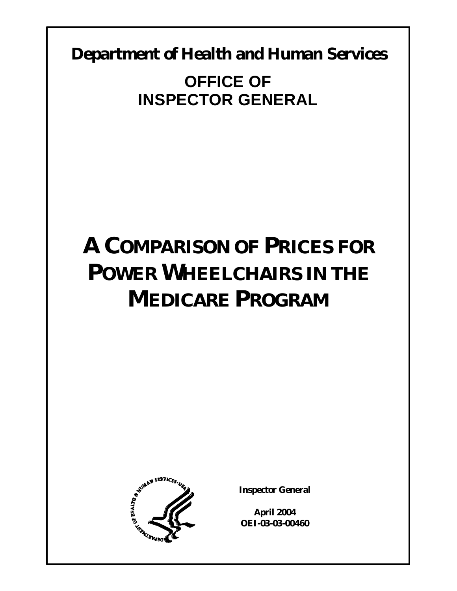**Department of Health and Human Services** 

**OFFICE OF INSPECTOR GENERAL** 

# **A COMPARISON OF PRICES FOR POWER WHEELCHAIRS IN THE MEDICARE PROGRAM**



**Inspector General** 

**April 2004 OEI-03-03-00460**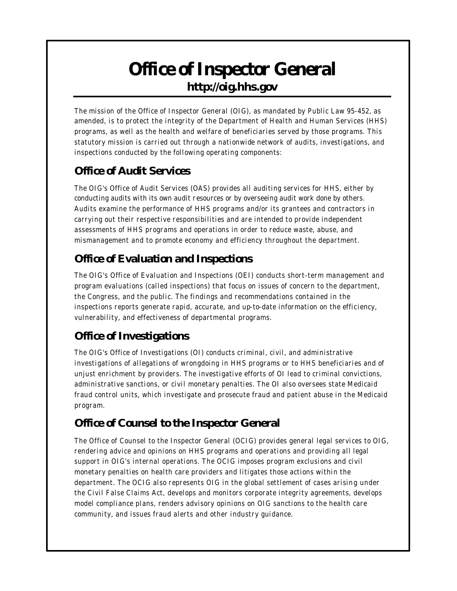## *Office of Inspector General* **http://oig.hhs.gov**

The mission of the Office of Inspector General (OIG), as mandated by Public Law 95-452, as amended, is to protect the integrity of the Department of Health and Human Services (HHS) programs, as well as the health and welfare of beneficiaries served by those programs. This statutory mission is carried out through a nationwide network of audits, investigations, and inspections conducted by the following operating components:

## *Office of Audit Services*

The OIG's Office of Audit Services (OAS) provides all auditing services for HHS, either by conducting audits with its own audit r esources or by overseeing audit work done by others. Audits examine the performance of HHS programs and/or its grantees and contractors in carrying out their respective responsibilities and are intended to provide independent assessments of HHS programs and operations in order to reduce waste, abuse, and mismanagement and to promote economy and efficiency throughout the department.

## *Office of Evaluation and Inspections*

The OIG's Office of Evaluation and Inspections (OEI) conducts short-term management and program evaluations (called inspections) that focus on issues of concern to the department, the Congress, and the public. The findings and recommendations contained in the inspections reports generate rapid, accurate, and up-to-date information on the effic iency, vulnerability, and effectiveness of departmental programs.

## *Office of Investigations*

The OIG's Office of Investigations (OI) conducts criminal, civil, and administrative investigations of allegations of wrongdoing in HHS programs or to HHS beneficiaries and of unjust enrichment by providers. The investigative efforts of OI lead to criminal convictions, administrative sanctions, or civil monetary penalties. The OI also oversees state Medicaid fraud control units, which investigate and prosecute fraud and patient abuse in the Medicaid program.

## *Office of Counsel to the Inspector General*

The Office of Counsel to the Inspector General (OCIG) provides general legal services to OIG, rendering advice and opinions on HHS programs and operations and providing all legal support in OIG's internal operations. The OCIG imposes program exclusions and civil monetary penalties on health care providers and litigates those actions within the department. The OCIG also represents OIG in the global settlement of cases arising under the Civil False Claims Act, develops and monitors corporate integrity agreements, develops model compliance plans, renders advisory opinions on OIG sanctions to the health care community, and issues fraud alerts and other industry guidance.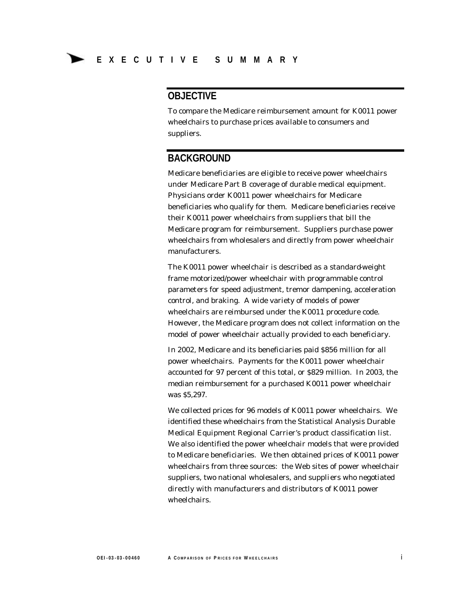#### **OBJECTIVE**

To compare the Medicare reimbursement amount for K0011 power wheelchairs to purchase prices available to consumers and suppliers.

#### **BACKGROUND**

Medicare beneficiaries are eligible to receive power wheelchairs under Medicare Part B coverage of durable medical equipment. Physicians order K0011 power wheelchairs for Medicare beneficiaries who qualify for them. Medicare beneficiaries receive their K0011 power wheelchairs from suppliers that bill the Medicare program for reimbursement. Suppliers purchase power wheelchairs from wholesalers and directly from power wheelchair manufacturers.

The K0011 power wheelchair is described as a standard-weight frame motorized/power wheelchair with programmable control parameters for speed adjustment, tremor dampening, acceleration control, and braking. A wide variety of models of power wheelchairs are reimbursed under the K0011 procedure code. However, the Medicare program does not collect information on the model of power wheelchair actually provided to each beneficiary.

In 2002, Medicare and its beneficiaries paid \$856 million for all power wheelchairs. Payments for the K0011 power wheelchair accounted for 97 percent of this total, or \$829 million. In 2003, the median reimbursement for a purchased K0011 power wheelchair was \$5,297.

We collected prices for 96 models of K0011 power wheelchairs. We identified these wheelchairs from the Statistical Analysis Durable Medical Equipment Regional Carrier's product classification list. We also identified the power wheelchair models that were provided to Medicare beneficiaries. We then obtained prices of K0011 power wheelchairs from three sources: the Web sites of power wheelchair suppliers, two national wholesalers, and suppliers who negotiated directly with manufacturers and distributors of K0011 power wheelchairs.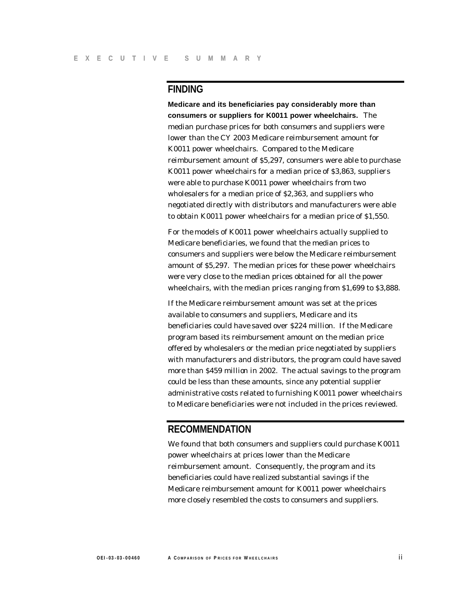#### **FINDING**

**Medicare and its beneficiaries pay considerably more than consumers or suppliers for K0011 power wheelchairs.** The median purchase prices for both consumers and suppliers were lower than the CY 2003 Medicare reimbursement amount for K0011 power wheelchairs. Compared to the Medicare reimbursement amount of \$5,297, consumers were able to purchase K0011 power wheelchairs for a median price of \$3,863, suppliers were able to purchase K0011 power wheelchairs from two wholesalers for a median price of \$2,363, and suppliers who negotiated directly with distributors and manufacturers were able to obtain K0011 power wheelchairs for a median price of \$1,550.

For the models of K0011 power wheelchairs actually supplied to Medicare beneficiaries, we found that the median prices to consumers and suppliers were below the Medicare reimbursement amount of \$5,297. The median prices for these power wheelchairs were very close to the median prices obtained for all the power wheelchairs, with the median prices ranging from \$1,699 to \$3,888.

If the Medicare reimbursement amount was set at the prices available to consumers and suppliers, Medicare and its beneficiaries could have saved over \$224 million. If the Medicare program based its reimbursement amount on the median price offered by wholesalers or the median price negotiated by suppliers with manufacturers and distributors, the program could have saved more than \$459 million in 2002. The actual savings to the program could be less than these amounts, since any potential supplier administrative costs related to furnishing K0011 power wheelchairs to Medicare beneficiaries were not included in the prices reviewed.

#### **RECOMMENDATION**

We found that both consumers and suppliers could purchase K0011 power wheelchairs at prices lower than the Medicare reimbursement amount. Consequently, the program and its beneficiaries could have realized substantial savings if the Medicare reimbursement amount for K0011 power wheelchairs more closely resembled the costs to consumers and suppliers.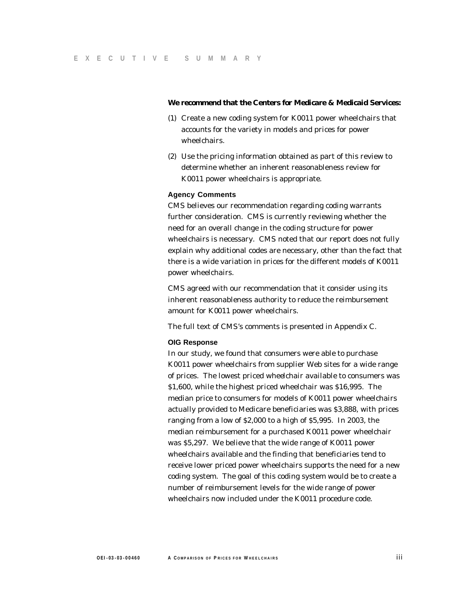#### **We recommend that the Centers for Medicare & Medicaid Services:**

- (1) Create a new coding system for K0011 power wheelchairs that accounts for the variety in models and prices for power wheelchairs.
- (2) Use the pricing information obtained as part of this review to determine whether an inherent reasonableness review for K0011 power wheelchairs is appropriate.

#### **Agency Comments**

CMS believes our recommendation regarding coding warrants further consideration. CMS is currently reviewing whether the need for an overall change in the coding structure for power wheelchairs is necessary. CMS noted that our report does not fully explain why additional codes are necessary, other than the fact that there is a wide variation in prices for the different models of K0011 power wheelchairs.

CMS agreed with our recommendation that it consider using its inherent reasonableness authority to reduce the reimbursement amount for K0011 power wheelchairs.

The full text of CMS's comments is presented in Appendix C.

#### **OIG Response**

In our study, we found that consumers were able to purchase K0011 power wheelchairs from supplier Web sites for a wide range of prices. The lowest priced wheelchair available to consumers was \$1,600, while the highest priced wheelchair was \$16,995. The median price to consumers for models of K0011 power wheelchairs actually provided to Medicare beneficiaries was \$3,888, with prices ranging from a low of \$2,000 to a high of \$5,995. In 2003, the median reimbursement for a purchased K0011 power wheelchair was \$5,297. We believe that the wide range of K0011 power wheelchairs available and the finding that beneficiaries tend to receive lower priced power wheelchairs supports the need for a new coding system. The goal of this coding system would be to create a number of reimbursement levels for the wide range of power wheelchairs now included under the K0011 procedure code.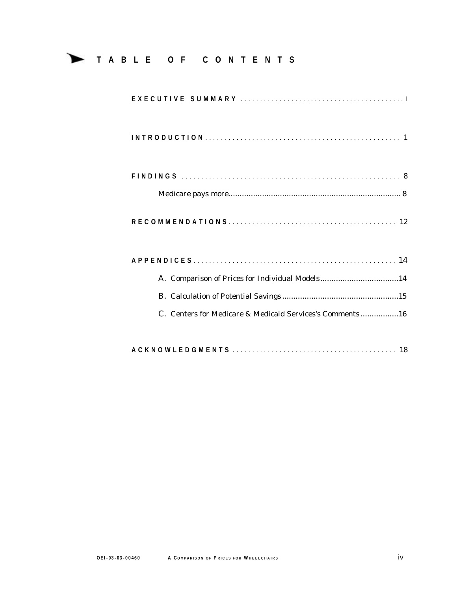## **TABLE OF CONTENTS**

| A. Comparison of Prices for Individual Models14          |
|----------------------------------------------------------|
|                                                          |
| C. Centers for Medicare & Medicaid Services's Comments16 |
|                                                          |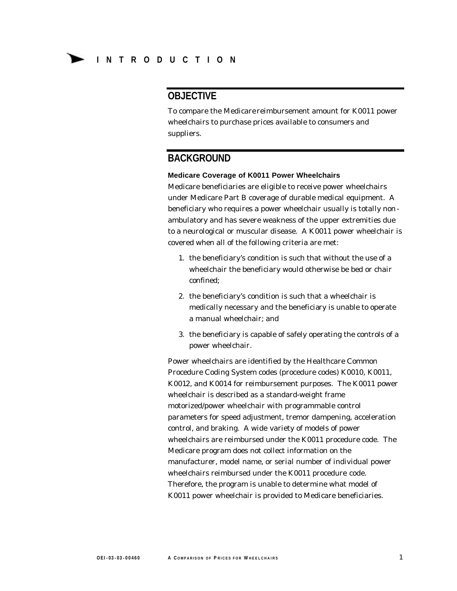#### **OBJECTIVE**

To compare the Medicare reimbursement amount for K0011 power wheelchairs to purchase prices available to consumers and suppliers.

#### **BACKGROUND**

#### **Medicare Coverage of K0011 Power Wheelchairs**

Medicare beneficiaries are eligible to receive power wheelchairs under Medicare Part B coverage of durable medical equipment. A beneficiary who requires a power wheelchair usually is totally non ambulatory and has severe weakness of the upper extremities due to a neurological or muscular disease. A K0011 power wheelchair is covered when all of the following criteria are met:

- 1. the beneficiary's condition is such that without the use of a wheelchair the beneficiary would otherwise be bed or chair confined;
- 2. the beneficiary's condition is such that a wheelchair is medically necessary and the beneficiary is unable to operate a manual wheelchair; and
- 3. the beneficiary is capable of safely operating the controls of a power wheelchair.

Power wheelchairs are identified by the Healthcare Common Procedure Coding System codes (procedure codes) K0010, K0011, K0012, and K0014 for reimbursement purposes. The K0011 power wheelchair is described as a standard-weight frame motorized/power wheelchair with programmable control parameters for speed adjustment, tremor dampening, acceleration control, and braking. A wide variety of models of power wheelchairs are reimbursed under the K0011 procedure code. The Medicare program does not collect information on the manufacturer, model name, or serial number of individual power wheelchairs reimbursed under the K0011 procedure code. Therefore, the program is unable to determine what model of K0011 power wheelchair is provided to Medicare beneficiaries.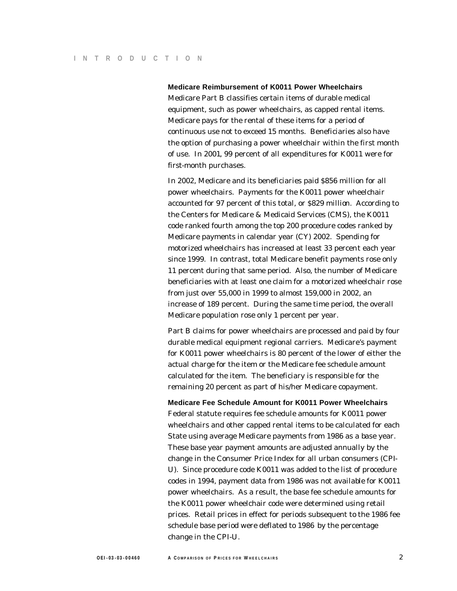#### **Medicare Reimbursement of K0011 Power Wheelchairs**

Medicare Part B classifies certain items of durable medical equipment, such as power wheelchairs, as capped rental items. Medicare pays for the rental of these items for a period of continuous use not to exceed 15 months. Beneficiaries also have the option of purchasing a power wheelchair within the first month of use. In 2001, 99 percent of all expenditures for K0011 were for first-month purchases.

In 2002, Medicare and its beneficiaries paid \$856 million for all power wheelchairs. Payments for the K0011 power wheelchair accounted for 97 percent of this total, or \$829 million. According to the Centers for Medicare & Medicaid Services (CMS), the K0011 code ranked fourth among the top 200 procedure codes ranked by Medicare payments in calendar year (CY) 2002. Spending for motorized wheelchairs has increased at least 33 percent each year since 1999. In contrast, total Medicare benefit payments rose only 11 percent during that same period. Also, the number of Medicare beneficiaries with at least one claim for a motorized wheelchair rose from just over 55,000 in 1999 to almost 159,000 in 2002, an increase of 189 percent. During the same time period, the overall Medicare population rose only 1 percent per year.

Part B claims for power wheelchairs are processed and paid by four durable medical equipment regional carriers. Medicare's payment for K0011 power wheelchairs is 80 percent of the lower of either the actual charge for the item or the Medicare fee schedule amount calculated for the item. The beneficiary is responsible for the remaining 20 percent as part of his/her Medicare copayment.

**Medicare Fee Schedule Amount for K0011 Power Wheelchairs**  Federal statute requires fee schedule amounts for K0011 power wheelchairs and other capped rental items to be calculated for each State using average Medicare payments from 1986 as a base year. These base year payment amounts are adjusted annually by the change in the Consumer Price Index for all urban consumers (CPI-U). Since procedure code K0011 was added to the list of procedure codes in 1994, payment data from 1986 was not available for K0011 power wheelchairs. As a result, the base fee schedule amounts for the K0011 power wheelchair code were determined using retail prices. Retail prices in effect for periods subsequent to the 1986 fee schedule base period were deflated to 1986 by the percentage change in the CPI-U.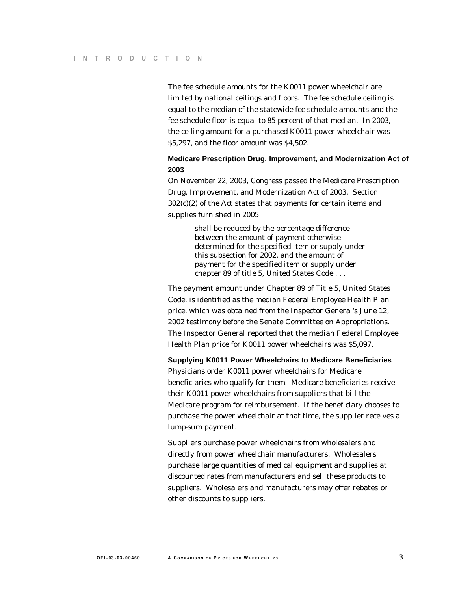The fee schedule amounts for the K0011 power wheelchair are limited by national ceilings and floors. The fee schedule ceiling is equal to the median of the statewide fee schedule amounts and the fee schedule floor is equal to 85 percent of that median. In 2003, the ceiling amount for a purchased K0011 power wheelchair was \$5,297, and the floor amount was \$4,502.

#### **Medicare Prescription Drug, Improvement, and Modernization Act of 2003**

On November 22, 2003, Congress passed the Medicare Prescription Drug, Improvement, and Modernization Act of 2003. Section 302(c)(2) of the Act states that payments for certain items and supplies furnished in 2005

> shall be reduced by the percentage difference between the amount of payment otherwise determined for the specified item or supply under this subsection for 2002, and the amount of payment for the specified item or supply under chapter 89 of title 5, United States Code . . .

The payment amount under Chapter 89 of Title 5, United States Code, is identified as the median Federal Employee Health Plan price, which was obtained from the Inspector General's June 12, 2002 testimony before the Senate Committee on Appropriations. The Inspector General reported that the median Federal Employee Health Plan price for K0011 power wheelchairs was \$5,097.

**Supplying K0011 Power Wheelchairs to Medicare Beneficiaries** 

Physicians order K0011 power wheelchairs for Medicare beneficiaries who qualify for them. Medicare beneficiaries receive their K0011 power wheelchairs from suppliers that bill the Medicare program for reimbursement. If the beneficiary chooses to purchase the power wheelchair at that time, the supplier receives a lump-sum payment.

Suppliers purchase power wheelchairs from wholesalers and directly from power wheelchair manufacturers. Wholesalers purchase large quantities of medical equipment and supplies at discounted rates from manufacturers and sell these products to suppliers. Wholesalers and manufacturers may offer rebates or other discounts to suppliers.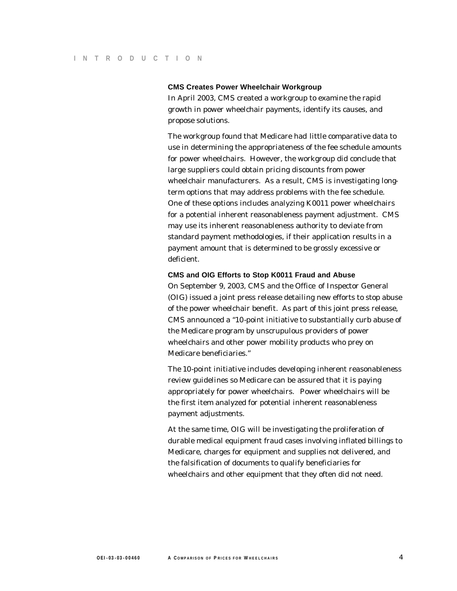#### **CMS Creates Power Wheelchair Workgroup**

In April 2003, CMS created a workgroup to examine the rapid growth in power wheelchair payments, identify its causes, and propose solutions.

The workgroup found that Medicare had little comparative data to use in determining the appropriateness of the fee schedule amounts for power wheelchairs. However, the workgroup did conclude that large suppliers could obtain pricing discounts from power wheelchair manufacturers. As a result, CMS is investigating longterm options that may address problems with the fee schedule. One of these options includes analyzing K0011 power wheelchairs for a potential inherent reasonableness payment adjustment. CMS may use its inherent reasonableness authority to deviate from standard payment methodologies, if their application results in a payment amount that is determined to be grossly excessive or deficient.

#### **CMS and OIG Efforts to Stop K0011 Fraud and Abuse**

On September 9, 2003, CMS and the Office of Inspector General (OIG) issued a joint press release detailing new efforts to stop abuse of the power wheelchair benefit. As part of this joint press release, CMS announced a "10-point initiative to substantially curb abuse of the Medicare program by unscrupulous providers of power wheelchairs and other power mobility products who prey on Medicare beneficiaries."

The 10-point initiative includes developing inherent reasonableness review guidelines so Medicare can be assured that it is paying appropriately for power wheelchairs. Power wheelchairs will be the first item analyzed for potential inherent reasonableness payment adjustments.

At the same time, OIG will be investigating the proliferation of durable medical equipment fraud cases involving inflated billings to Medicare, charges for equipment and supplies not delivered, and the falsification of documents to qualify beneficiaries for wheelchairs and other equipment that they often did not need.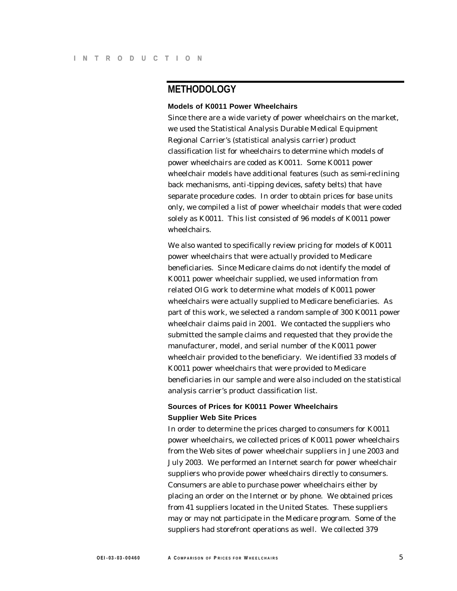#### **METHODOLOGY**

#### **Models of K0011 Power Wheelchairs**

Since there are a wide variety of power wheelchairs on the market, we used the Statistical Analysis Durable Medical Equipment Regional Carrier's (statistical analysis carrier) product classification list for wheelchairs to determine which models of power wheelchairs are coded as K0011. Some K0011 power wheelchair models have additional features (such as semi-reclining back mechanisms, anti-tipping devices, safety belts) that have separate procedure codes. In order to obtain prices for base units only, we compiled a list of power wheelchair models that were coded solely as K0011. This list consisted of 96 models of K0011 power wheelchairs.

We also wanted to specifically review pricing for models of K0011 power wheelchairs that were actually provided to Medicare beneficiaries. Since Medicare claims do not identify the model of K0011 power wheelchair supplied, we used information from related OIG work to determine what models of K0011 power wheelchairs were actually supplied to Medicare beneficiaries. As part of this work, we selected a random sample of 300 K0011 power wheelchair claims paid in 2001. We contacted the suppliers who submitted the sample claims and requested that they provide the manufacturer, model, and serial number of the K0011 power wheelchair provided to the beneficiary. We identified 33 models of K0011 power wheelchairs that were provided to Medicare beneficiaries in our sample and were also included on the statistical analysis carrier's product classification list.

#### **Sources of Prices for K0011 Power Wheelchairs Supplier Web Site Prices**

In order to determine the prices charged to consumers for K0011 power wheelchairs, we collected prices of K0011 power wheelchairs from the Web sites of power wheelchair suppliers in June 2003 and July 2003. We performed an Internet search for power wheelchair suppliers who provide power wheelchairs directly to consumers. Consumers are able to purchase power wheelchairs either by placing an order on the Internet or by phone. We obtained prices from 41 suppliers located in the United States. These suppliers may or may not participate in the Medicare program. Some of the suppliers had storefront operations as well. We collected 379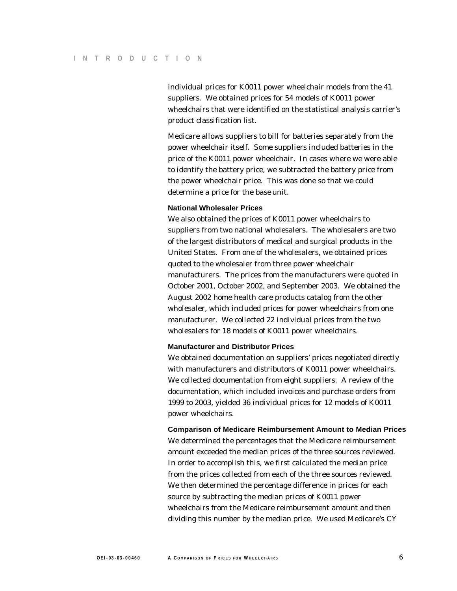individual prices for K0011 power wheelchair models from the 41 suppliers. We obtained prices for 54 models of K0011 power wheelchairs that were identified on the statistical analysis carrier's product classification list.

Medicare allows suppliers to bill for batteries separately from the power wheelchair itself. Some suppliers included batteries in the price of the K0011 power wheelchair. In cases where we were able to identify the battery price, we subtracted the battery price from the power wheelchair price. This was done so that we could determine a price for the base unit.

#### **National Wholesaler Prices**

We also obtained the prices of K0011 power wheelchairs to suppliers from two national wholesalers. The wholesalers are two of the largest distributors of medical and surgical products in the United States. From one of the wholesalers, we obtained prices quoted to the wholesaler from three power wheelchair manufacturers. The prices from the manufacturers were quoted in October 2001, October 2002, and September 2003. We obtained the August 2002 home health care products catalog from the other wholesaler, which included prices for power wheelchairs from one manufacturer. We collected 22 individual prices from the two wholesalers for 18 models of K0011 power wheelchairs.

#### **Manufacturer and Distributor Prices**

We obtained documentation on suppliers' prices negotiated directly with manufacturers and distributors of K0011 power wheelchairs. We collected documentation from eight suppliers. A review of the documentation, which included invoices and purchase orders from 1999 to 2003, yielded 36 individual prices for 12 models of K0011 power wheelchairs.

#### **Comparison of Medicare Reimbursement Amount to Median Prices**

We determined the percentages that the Medicare reimbursement amount exceeded the median prices of the three sources reviewed. In order to accomplish this, we first calculated the median price from the prices collected from each of the three sources reviewed. We then determined the percentage difference in prices for each source by subtracting the median prices of K0011 power wheelchairs from the Medicare reimbursement amount and then dividing this number by the median price. We used Medicare's CY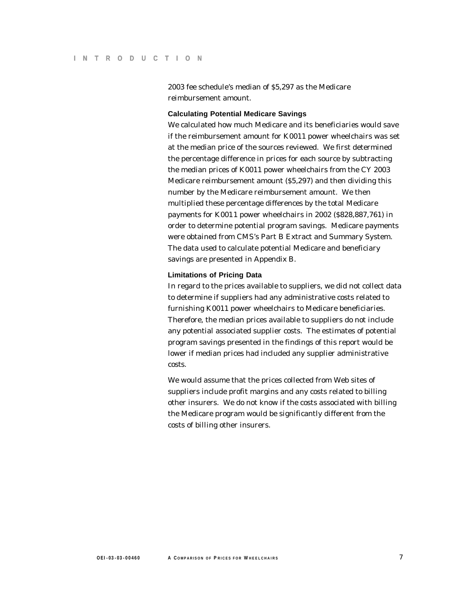2003 fee schedule's median of \$5,297 as the Medicare reimbursement amount.

#### **Calculating Potential Medicare Savings**

We calculated how much Medicare and its beneficiaries would save if the reimbursement amount for K0011 power wheelchairs was set at the median price of the sources reviewed. We first determined the percentage difference in prices for each source by subtracting the median prices of K0011 power wheelchairs from the CY 2003 Medicare reimbursement amount (\$5,297) and then dividing this number by the Medicare reimbursement amount. We then multiplied these percentage differences by the total Medicare payments for K0011 power wheelchairs in 2002 (\$828,887,761) in order to determine potential program savings. Medicare payments were obtained from CMS's Part B Extract and Summary System. The data used to calculate potential Medicare and beneficiary savings are presented in Appendix B.

#### **Limitations of Pricing Data**

In regard to the prices available to suppliers, we did not collect data to determine if suppliers had any administrative costs related to furnishing K0011 power wheelchairs to Medicare beneficiaries. Therefore, the median prices available to suppliers do not include any potential associated supplier costs. The estimates of potential program savings presented in the findings of this report would be lower if median prices had included any supplier administrative costs.

We would assume that the prices collected from Web sites of suppliers include profit margins and any costs related to billing other insurers. We do not know if the costs associated with billing the Medicare program would be significantly different from the costs of billing other insurers.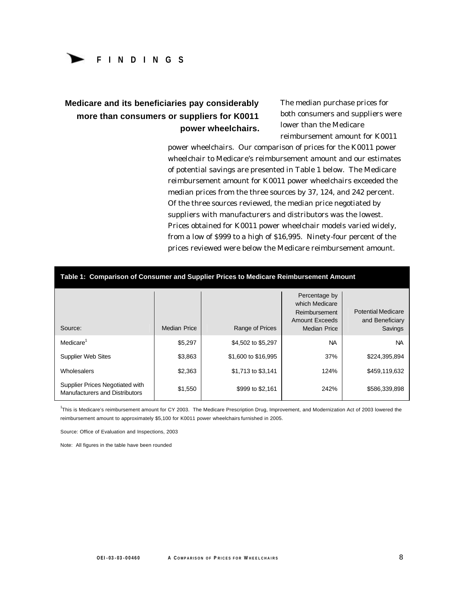## **FINDINGS**

### **Medicare and its beneficiaries pay considerably more than consumers or suppliers for K0011 power wheelchairs.**

The median purchase prices for both consumers and suppliers were lower than the Medicare reimbursement amount for K0011

power wheelchairs. Our comparison of prices for the K0011 power wheelchair to Medicare's reimbursement amount and our estimates of potential savings are presented in Table 1 below. The Medicare reimbursement amount for K0011 power wheelchairs exceeded the median prices from the three sources by 37, 124, and 242 percent. Of the three sources reviewed, the median price negotiated by suppliers with manufacturers and distributors was the lowest. Prices obtained for K0011 power wheelchair models varied widely, from a low of \$999 to a high of \$16,995. Ninety-four percent of the prices reviewed were below the Medicare reimbursement amount.

| Table 1: Comparison of Consumer and Supplier Prices to Medicare Reimbursement Amount |                     |                     |                                                                                           |                                                         |
|--------------------------------------------------------------------------------------|---------------------|---------------------|-------------------------------------------------------------------------------------------|---------------------------------------------------------|
| Source:                                                                              | <b>Median Price</b> | Range of Prices     | Percentage by<br>which Medicare<br>Reimbursement<br><b>Amount Exceeds</b><br>Median Price | <b>Potential Medicare</b><br>and Beneficiary<br>Savings |
| Medicare <sup>1</sup>                                                                | \$5,297             | \$4,502 to \$5,297  | <b>NA</b>                                                                                 | <b>NA</b>                                               |
| <b>Supplier Web Sites</b>                                                            | \$3,863             | \$1,600 to \$16,995 | 37%                                                                                       | \$224,395,894                                           |
| Wholesalers                                                                          | \$2,363             | \$1,713 to \$3,141  | 124%                                                                                      | \$459,119,632                                           |
| Supplier Prices Negotiated with<br>Manufacturers and Distributors                    | \$1,550             | \$999 to \$2,161    | 242%                                                                                      | \$586,339,898                                           |

1 This is Medicare's reimbursement amount for CY 2003. The Medicare Prescription Drug, Improvement, and Modernization Act of 2003 lowered the reimbursement amount to approximately \$5,100 for K0011 power wheelchairs furnished in 2005.

Source: Office of Evaluation and Inspections, 2003

Note: All figures in the table have been rounded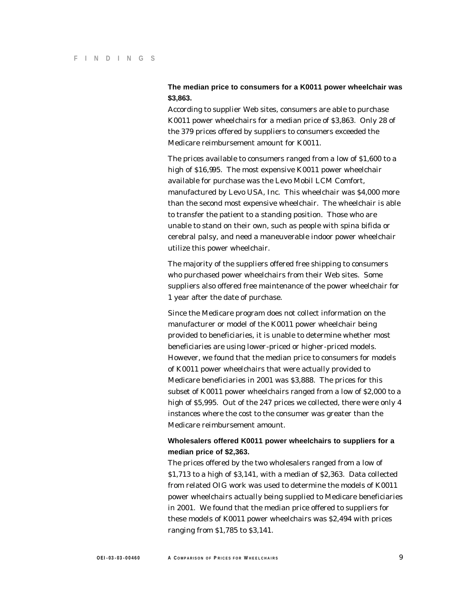#### **The median price to consumers for a K0011 power wheelchair was \$3,863.**

According to supplier Web sites, consumers are able to purchase K0011 power wheelchairs for a median price of \$3,863. Only 28 of the 379 prices offered by suppliers to consumers exceeded the Medicare reimbursement amount for K0011.

The prices available to consumers ranged from a low of \$1,600 to a high of \$16,995. The most expensive K0011 power wheelchair available for purchase was the Levo Mobil LCM Comfort, manufactured by Levo USA, Inc. This wheelchair was \$4,000 more than the second most expensive wheelchair. The wheelchair is able to transfer the patient to a standing position. Those who are unable to stand on their own, such as people with spina bifida or cerebral palsy, and need a maneuverable indoor power wheelchair utilize this power wheelchair.

The majority of the suppliers offered free shipping to consumers who purchased power wheelchairs from their Web sites. Some suppliers also offered free maintenance of the power wheelchair for 1 year after the date of purchase.

Since the Medicare program does not collect information on the manufacturer or model of the K0011 power wheelchair being provided to beneficiaries, it is unable to determine whether most beneficiaries are using lower-priced or higher-priced models. However, we found that the median price to consumers for models of K0011 power wheelchairs that were actually provided to Medicare beneficiaries in 2001 was \$3,888. The prices for this subset of K0011 power wheelchairs ranged from a low of \$2,000 to a high of \$5,995. Out of the 247 prices we collected, there were only 4 instances where the cost to the consumer was greater than the Medicare reimbursement amount.

#### **Wholesalers offered K0011 power wheelchairs to suppliers for a median price of \$2,363.**

The prices offered by the two wholesalers ranged from a low of \$1,713 to a high of \$3,141, with a median of \$2,363. Data collected from related OIG work was used to determine the models of K0011 power wheelchairs actually being supplied to Medicare beneficiaries in 2001. We found that the median price offered to suppliers for these models of K0011 power wheelchairs was \$2,494 with prices ranging from \$1,785 to \$3,141.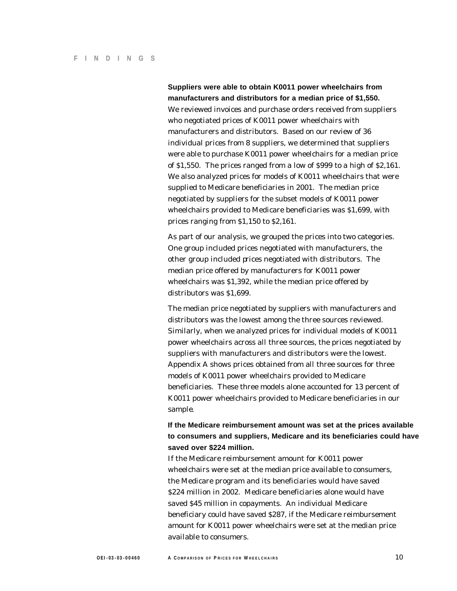**Suppliers were able to obtain K0011 power wheelchairs from manufacturers and distributors for a median price of \$1,550.** We reviewed invoices and purchase orders received from suppliers who negotiated prices of K0011 power wheelchairs with manufacturers and distributors. Based on our review of 36 individual prices from 8 suppliers, we determined that suppliers were able to purchase K0011 power wheelchairs for a median price of \$1,550. The prices ranged from a low of \$999 to a high of \$2,161. We also analyzed prices for models of K0011 wheelchairs that were supplied to Medicare beneficiaries in 2001. The median price negotiated by suppliers for the subset models of K0011 power wheelchairs provided to Medicare beneficiaries was \$1,699, with prices ranging from \$1,150 to \$2,161.

As part of our analysis, we grouped the prices into two categories. One group included prices negotiated with manufacturers, the other group included prices negotiated with distributors. The median price offered by manufacturers for K0011 power wheelchairs was \$1,392, while the median price offered by distributors was \$1,699.

The median price negotiated by suppliers with manufacturers and distributors was the lowest among the three sources reviewed. Similarly, when we analyzed prices for individual models of K0011 power wheelchairs across all three sources, the prices negotiated by suppliers with manufacturers and distributors were the lowest. Appendix A shows prices obtained from all three sources for three models of K0011 power wheelchairs provided to Medicare beneficiaries. These three models alone accounted for 13 percent of K0011 power wheelchairs provided to Medicare beneficiaries in our sample.

#### **If the Medicare reimbursement amount was set at the prices available to consumers and suppliers, Medicare and its beneficiaries could have saved over \$224 million.**

If the Medicare reimbursement amount for K0011 power wheelchairs were set at the median price available to consumers, the Medicare program and its beneficiaries would have saved \$224 million in 2002. Medicare beneficiaries alone would have saved \$45 million in copayments. An individual Medicare beneficiary could have saved \$287, if the Medicare reimbursement amount for K0011 power wheelchairs were set at the median price available to consumers.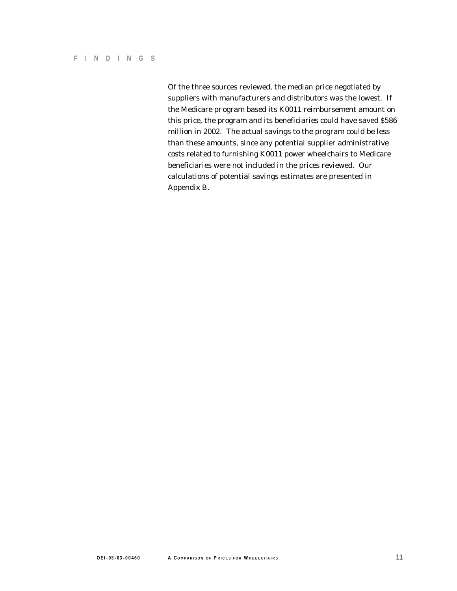Of the three sources reviewed, the median price negotiated by suppliers with manufacturers and distributors was the lowest. If the Medicare pr ogram based its K0011 reimbursement amount on this price, the program and its beneficiaries could have saved \$586 million in 2002. The actual savings to the program could be less than these amounts, since any potential supplier administrative costs related to furnishing K0011 power wheelchairs to Medicare beneficiaries were not included in the prices reviewed. Our calculations of potential savings estimates are presented in Appendix B.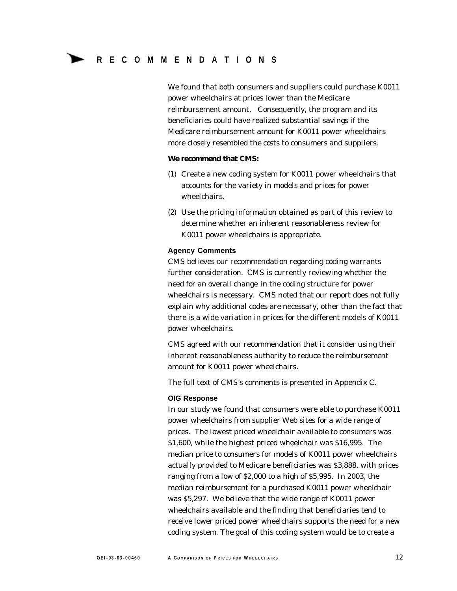We found that both consumers and suppliers could purchase K0011 power wheelchairs at prices lower than the Medicare reimbursement amount. Consequently, the program and its beneficiaries could have realized substantial savings if the Medicare reimbursement amount for K0011 power wheelchairs more closely resembled the costs to consumers and suppliers.

#### **We recommend that CMS:**

- (1) Create a new coding system for K0011 power wheelchairs that accounts for the variety in models and prices for power wheelchairs.
- (2) Use the pricing information obtained as part of this review to determine whether an inherent reasonableness review for K0011 power wheelchairs is appropriate.

#### **Agency Comments**

CMS believes our recommendation regarding coding warrants further consideration. CMS is currently reviewing whether the need for an overall change in the coding structure for power wheelchairs is necessary. CMS noted that our report does not fully explain why additional codes are necessary, other than the fact that there is a wide variation in prices for the different models of K0011 power wheelchairs.

CMS agreed with our recommendation that it consider using their inherent reasonableness authority to reduce the reimbursement amount for K0011 power wheelchairs.

The full text of CMS's comments is presented in Appendix C.

#### **OIG Response**

In our study we found that consumers were able to purchase K0011 power wheelchairs from supplier Web sites for a wide range of prices. The lowest priced wheelchair available to consumers was \$1,600, while the highest priced wheelchair was \$16,995. The median price to consumers for models of K0011 power wheelchairs actually provided to Medicare beneficiaries was \$3,888, with prices ranging from a low of \$2,000 to a high of \$5,995. In 2003, the median reimbursement for a purchased K0011 power wheelchair was \$5,297. We believe that the wide range of K0011 power wheelchairs available and the finding that beneficiaries tend to receive lower priced power wheelchairs supports the need for a new coding system. The goal of this coding system would be to create a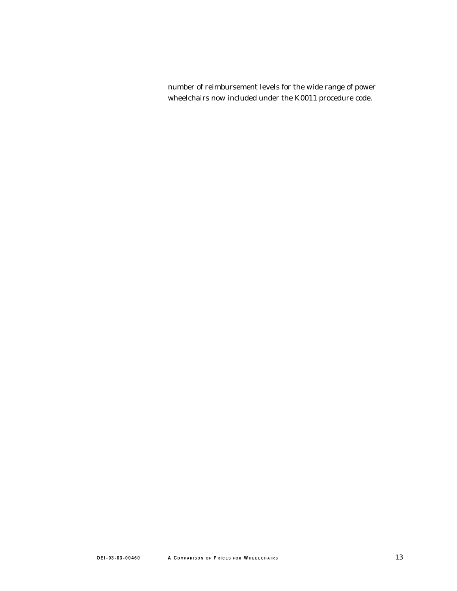number of reimbursement levels for the wide range of power wheelchairs now included under the K0011 procedure code.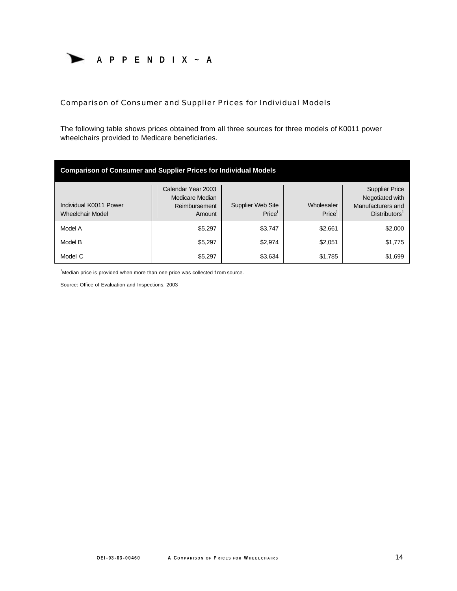

Comparison of Consumer and Supplier Prices for Individual Models

The following table shows prices obtained from all three sources for three models of K0011 power wheelchairs provided to Medicare beneficiaries.

| <b>Comparison of Consumer and Supplier Prices for Individual Models</b> |                                                                  |                                         |                                  |                                                                                            |
|-------------------------------------------------------------------------|------------------------------------------------------------------|-----------------------------------------|----------------------------------|--------------------------------------------------------------------------------------------|
| Individual K0011 Power<br><b>Wheelchair Model</b>                       | Calendar Year 2003<br>Medicare Median<br>Reimbursement<br>Amount | Supplier Web Site<br>Price <sup>1</sup> | Wholesaler<br>Price <sup>1</sup> | <b>Supplier Price</b><br>Negotiated with<br>Manufacturers and<br>Distributors <sup>1</sup> |
| Model A                                                                 | \$5,297                                                          | \$3,747                                 | \$2,661                          | \$2,000                                                                                    |
| Model B                                                                 | \$5,297                                                          | \$2,974                                 | \$2,051                          | \$1,775                                                                                    |
| Model C                                                                 | \$5,297                                                          | \$3,634                                 | \$1,785                          | \$1,699                                                                                    |

 $1$ Median price is provided when more than one price was collected f rom source.

Source: Office of Evaluation and Inspections, 2003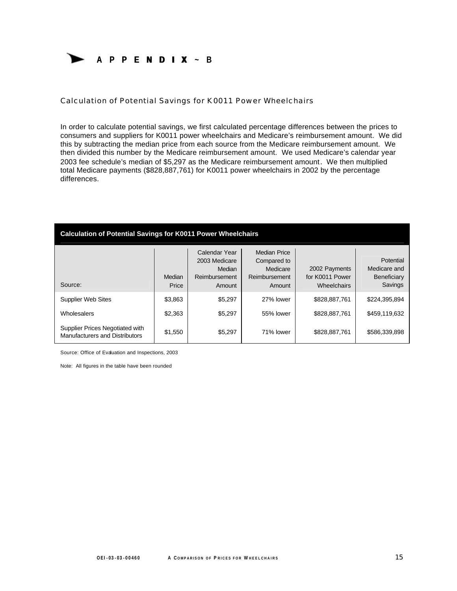

Calculation of Potential Savings for K0011 Power Wheelchairs

In order to calculate potential savings, we first calculated percentage differences between the prices to consumers and suppliers for K0011 power wheelchairs and Medicare's reimbursement amount. We did this by subtracting the median price from each source from the Medicare reimbursement amount. We then divided this number by the Medicare reimbursement amount. We used Medicare's calendar year 2003 fee schedule's median of \$5,297 as the Medicare reimbursement amount. We then multiplied total Medicare payments (\$828,887,761) for K0011 power wheelchairs in 2002 by the percentage differences.

| <b>Calculation of Potential Savings for K0011 Power Wheelchairs</b> |                 |                                                                     |                                                                           |                                                 |                                                     |
|---------------------------------------------------------------------|-----------------|---------------------------------------------------------------------|---------------------------------------------------------------------------|-------------------------------------------------|-----------------------------------------------------|
| Source:                                                             | Median<br>Price | Calendar Year<br>2003 Medicare<br>Median<br>Reimbursement<br>Amount | <b>Median Price</b><br>Compared to<br>Medicare<br>Reimbursement<br>Amount | 2002 Payments<br>for K0011 Power<br>Wheelchairs | Potential<br>Medicare and<br>Beneficiary<br>Savings |
| <b>Supplier Web Sites</b>                                           | \$3,863         | \$5,297                                                             | 27% lower                                                                 | \$828,887,761                                   | \$224,395,894                                       |
| Wholesalers                                                         | \$2,363         | \$5.297                                                             | 55% lower                                                                 | \$828,887,761                                   | \$459,119,632                                       |
| Supplier Prices Negotiated with<br>Manufacturers and Distributors   | \$1,550         | \$5,297                                                             | 71% lower                                                                 | \$828,887,761                                   | \$586,339,898                                       |

Source: Office of Evaluation and Inspections, 2003

Note: All figures in the table have been rounded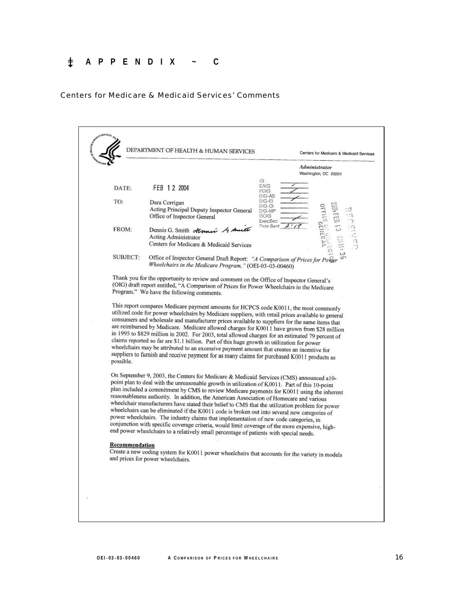## 0 **APPENDIX ~ C**

#### Centers for Medicare & Medicaid Services' Comments

| Administrator<br>Washington, DC 20201<br>IG.<br>EAIG<br>FEB 12 2004<br>DATE:<br>PDIG<br>DIG-AS<br>TO:<br>DIG-EI<br>Dara Corrigan<br>DIG-OI<br>Acting Principal Deputy Inspector General<br>DIG-MP<br>Office of Inspector General<br>OCIG<br>ExecSec<br><b>Dete Sent</b><br>FROM:<br>Dennis G. Smith Atruni & Aucto<br><b>Acting Administrator</b><br>Centers for Medicare & Medicaid Services<br>SUBJECT:<br>Office of Inspector General Draft Report: "A Comparison of Prices for Power<br>Wheelchairs in the Medicare Program," (OEI-03-03-00460)<br>Thank you for the opportunity to review and comment on the Office of Inspector General's<br>(OIG) draft report entitled, "A Comparison of Prices for Power Wheelchairs in the Medicare<br>Program." We have the following comments.<br>This report compares Medicare payment amounts for HCPCS code K0011, the most commonly<br>utilized code for power wheelchairs by Medicare suppliers, with retail prices available to general<br>consumers and wholesale and manufacturer prices available to suppliers for the same items that<br>are reimbursed by Medicare. Medicare allowed charges for K0011 have grown from \$28 million<br>in 1995 to \$829 million in 2002. For 2003, total allowed charges for an estimated 79 percent of<br>claims reported so far are \$1.1 billion. Part of this huge growth in utilization for power<br>wheelchairs may be attributed to an excessive payment amount that creates an incentive for<br>suppliers to furnish and receive payment for as many claims for purchased K0011 products as<br>possible.<br>On September 9, 2003, the Centers for Medicare & Medicaid Services (CMS) announced a10-<br>point plan to deal with the unreasonable growth in utilization of K0011. Part of this 10-point<br>plan included a commitment by CMS to review Medicare payments for K0011 using the inherent<br>reasonableness authority. In addition, the American Association of Homecare and various<br>wheelchair manufacturers have stated their belief to CMS that the utilization problem for power<br>wheelchairs can be eliminated if the K0011 code is broken out into several new categories of<br>power wheelchairs. The industry claims that implementation of new code categories, in<br>conjunction with specific coverage criteria, would limit coverage of the more expensive, high-<br>end power wheelchairs to a relatively small percentage of patients with special needs. | DEPARTMENT OF HEALTH & HUMAN SERVICES | Centers for Medicare & Medicaid Services |
|---------------------------------------------------------------------------------------------------------------------------------------------------------------------------------------------------------------------------------------------------------------------------------------------------------------------------------------------------------------------------------------------------------------------------------------------------------------------------------------------------------------------------------------------------------------------------------------------------------------------------------------------------------------------------------------------------------------------------------------------------------------------------------------------------------------------------------------------------------------------------------------------------------------------------------------------------------------------------------------------------------------------------------------------------------------------------------------------------------------------------------------------------------------------------------------------------------------------------------------------------------------------------------------------------------------------------------------------------------------------------------------------------------------------------------------------------------------------------------------------------------------------------------------------------------------------------------------------------------------------------------------------------------------------------------------------------------------------------------------------------------------------------------------------------------------------------------------------------------------------------------------------------------------------------------------------------------------------------------------------------------------------------------------------------------------------------------------------------------------------------------------------------------------------------------------------------------------------------------------------------------------------------------------------------------------------------------------------------------------------------------------------------------------------------------------------------------------------------------------|---------------------------------------|------------------------------------------|
|                                                                                                                                                                                                                                                                                                                                                                                                                                                                                                                                                                                                                                                                                                                                                                                                                                                                                                                                                                                                                                                                                                                                                                                                                                                                                                                                                                                                                                                                                                                                                                                                                                                                                                                                                                                                                                                                                                                                                                                                                                                                                                                                                                                                                                                                                                                                                                                                                                                                                       |                                       |                                          |
|                                                                                                                                                                                                                                                                                                                                                                                                                                                                                                                                                                                                                                                                                                                                                                                                                                                                                                                                                                                                                                                                                                                                                                                                                                                                                                                                                                                                                                                                                                                                                                                                                                                                                                                                                                                                                                                                                                                                                                                                                                                                                                                                                                                                                                                                                                                                                                                                                                                                                       |                                       |                                          |
|                                                                                                                                                                                                                                                                                                                                                                                                                                                                                                                                                                                                                                                                                                                                                                                                                                                                                                                                                                                                                                                                                                                                                                                                                                                                                                                                                                                                                                                                                                                                                                                                                                                                                                                                                                                                                                                                                                                                                                                                                                                                                                                                                                                                                                                                                                                                                                                                                                                                                       |                                       |                                          |
|                                                                                                                                                                                                                                                                                                                                                                                                                                                                                                                                                                                                                                                                                                                                                                                                                                                                                                                                                                                                                                                                                                                                                                                                                                                                                                                                                                                                                                                                                                                                                                                                                                                                                                                                                                                                                                                                                                                                                                                                                                                                                                                                                                                                                                                                                                                                                                                                                                                                                       |                                       |                                          |
|                                                                                                                                                                                                                                                                                                                                                                                                                                                                                                                                                                                                                                                                                                                                                                                                                                                                                                                                                                                                                                                                                                                                                                                                                                                                                                                                                                                                                                                                                                                                                                                                                                                                                                                                                                                                                                                                                                                                                                                                                                                                                                                                                                                                                                                                                                                                                                                                                                                                                       |                                       |                                          |
|                                                                                                                                                                                                                                                                                                                                                                                                                                                                                                                                                                                                                                                                                                                                                                                                                                                                                                                                                                                                                                                                                                                                                                                                                                                                                                                                                                                                                                                                                                                                                                                                                                                                                                                                                                                                                                                                                                                                                                                                                                                                                                                                                                                                                                                                                                                                                                                                                                                                                       |                                       |                                          |
|                                                                                                                                                                                                                                                                                                                                                                                                                                                                                                                                                                                                                                                                                                                                                                                                                                                                                                                                                                                                                                                                                                                                                                                                                                                                                                                                                                                                                                                                                                                                                                                                                                                                                                                                                                                                                                                                                                                                                                                                                                                                                                                                                                                                                                                                                                                                                                                                                                                                                       |                                       |                                          |
|                                                                                                                                                                                                                                                                                                                                                                                                                                                                                                                                                                                                                                                                                                                                                                                                                                                                                                                                                                                                                                                                                                                                                                                                                                                                                                                                                                                                                                                                                                                                                                                                                                                                                                                                                                                                                                                                                                                                                                                                                                                                                                                                                                                                                                                                                                                                                                                                                                                                                       |                                       |                                          |
| <b>Recommendation</b><br>Create a new coding system for K0011 power wheelchairs that accounts for the variety in models<br>and prices for power wheelchairs.                                                                                                                                                                                                                                                                                                                                                                                                                                                                                                                                                                                                                                                                                                                                                                                                                                                                                                                                                                                                                                                                                                                                                                                                                                                                                                                                                                                                                                                                                                                                                                                                                                                                                                                                                                                                                                                                                                                                                                                                                                                                                                                                                                                                                                                                                                                          |                                       |                                          |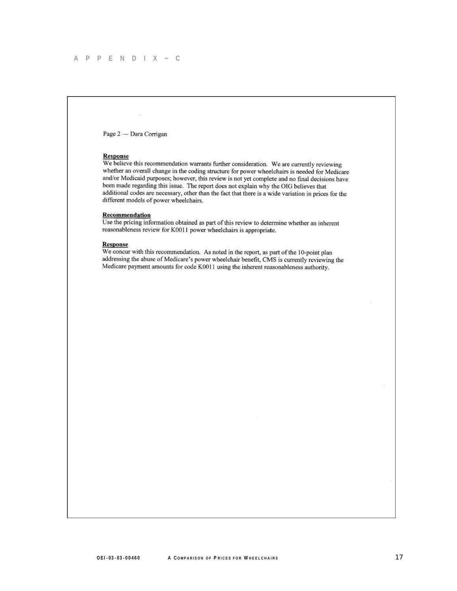Page 2 - Dara Corrigan

 $\mathbb{R}^n$ 

#### Response

We believe this recommendation warrants further consideration. We are currently reviewing whether an overall change in the coding structure for power wheelchairs is needed for Medicare and/or Medicaid purposes; however, this review is not yet complete and no final decisions have been made regarding this issue. The report does not explain why the OIG believes that additional codes are necessary, other than the fact that there is a wide variation in prices for the different models of power wheelchairs.

#### Recommendation

Use the pricing information obtained as part of this review to determine whether an inherent reasonableness review for K0011 power wheelchairs is appropriate.

#### **Response**

We concur with this recommendation. As noted in the report, as part of the 10-point plan addressing the abuse of Medicare's power wheelchair benefit, CMS is currently reviewing the Medicare payment amounts for code K0011 using the inherent reasonableness authority.